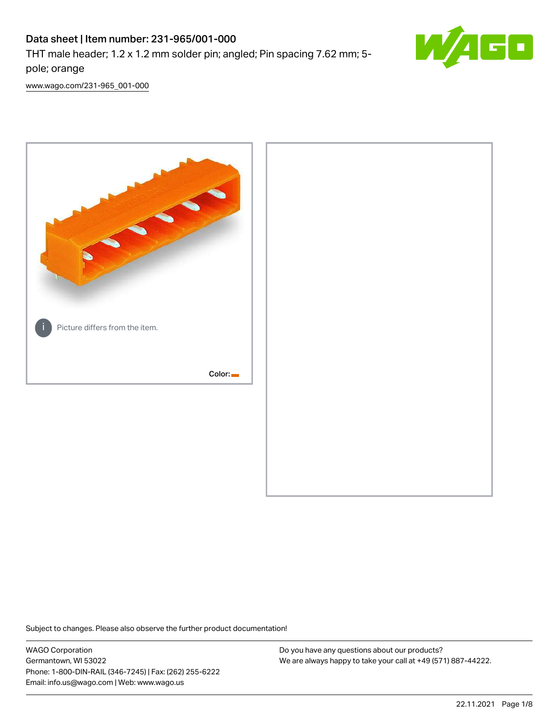# Data sheet | Item number: 231-965/001-000

THT male header; 1.2 x 1.2 mm solder pin; angled; Pin spacing 7.62 mm; 5 pole; orange



[www.wago.com/231-965\\_001-000](http://www.wago.com/231-965_001-000)



Subject to changes. Please also observe the further product documentation!

WAGO Corporation Germantown, WI 53022 Phone: 1-800-DIN-RAIL (346-7245) | Fax: (262) 255-6222 Email: info.us@wago.com | Web: www.wago.us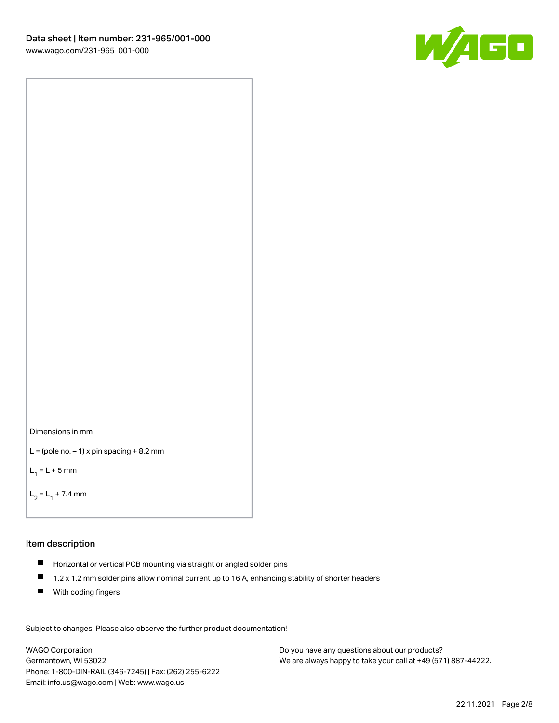



```
L = (pole no. -1) x pin spacing +8.2 mm
```
 $L_1 = L + 5$  mm

```
L_2 = L_1 + 7.4 mm
```
### Item description

- Horizontal or vertical PCB mounting via straight or angled solder pins
- $\blacksquare$ 1.2 x 1.2 mm solder pins allow nominal current up to 16 A, enhancing stability of shorter headers
- **With coding fingers**

Subject to changes. Please also observe the further product documentation! Data

WAGO Corporation Germantown, WI 53022 Phone: 1-800-DIN-RAIL (346-7245) | Fax: (262) 255-6222 Email: info.us@wago.com | Web: www.wago.us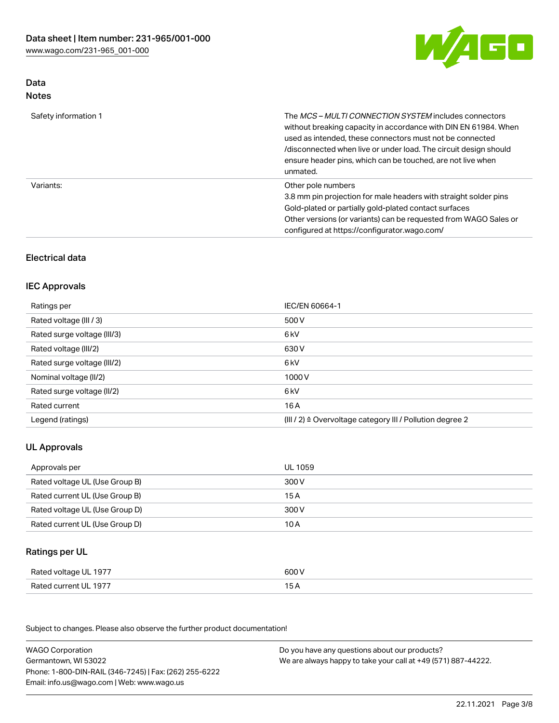

# Data Notes

| Safety information 1 | The <i>MCS – MULTI CONNECTION SYSTEM</i> includes connectors<br>without breaking capacity in accordance with DIN EN 61984. When<br>used as intended, these connectors must not be connected<br>/disconnected when live or under load. The circuit design should<br>ensure header pins, which can be touched, are not live when<br>unmated. |
|----------------------|--------------------------------------------------------------------------------------------------------------------------------------------------------------------------------------------------------------------------------------------------------------------------------------------------------------------------------------------|
| Variants:            | Other pole numbers<br>3.8 mm pin projection for male headers with straight solder pins<br>Gold-plated or partially gold-plated contact surfaces<br>Other versions (or variants) can be requested from WAGO Sales or<br>configured at https://configurator.wago.com/                                                                        |

# Electrical data

# IEC Approvals

| Ratings per                 | IEC/EN 60664-1                                                        |
|-----------------------------|-----------------------------------------------------------------------|
| Rated voltage (III / 3)     | 500 V                                                                 |
| Rated surge voltage (III/3) | 6 <sub>kV</sub>                                                       |
| Rated voltage (III/2)       | 630 V                                                                 |
| Rated surge voltage (III/2) | 6 <sub>kV</sub>                                                       |
| Nominal voltage (II/2)      | 1000V                                                                 |
| Rated surge voltage (II/2)  | 6 <sub>kV</sub>                                                       |
| Rated current               | 16A                                                                   |
| Legend (ratings)            | $(III / 2)$ $\triangle$ Overvoltage category III / Pollution degree 2 |

# UL Approvals

| Approvals per                  | UL 1059 |
|--------------------------------|---------|
| Rated voltage UL (Use Group B) | 300 V   |
| Rated current UL (Use Group B) | 15 A    |
| Rated voltage UL (Use Group D) | 300 V   |
| Rated current UL (Use Group D) | 10 A    |

# Ratings per UL

| Rated voltage UL 1977 | 600 V |
|-----------------------|-------|
| Rated current UL 1977 |       |

Subject to changes. Please also observe the further product documentation!

| <b>WAGO Corporation</b>                                | Do you have any questions about our products?                 |
|--------------------------------------------------------|---------------------------------------------------------------|
| Germantown, WI 53022                                   | We are always happy to take your call at +49 (571) 887-44222. |
| Phone: 1-800-DIN-RAIL (346-7245)   Fax: (262) 255-6222 |                                                               |
| Email: info.us@wago.com   Web: www.wago.us             |                                                               |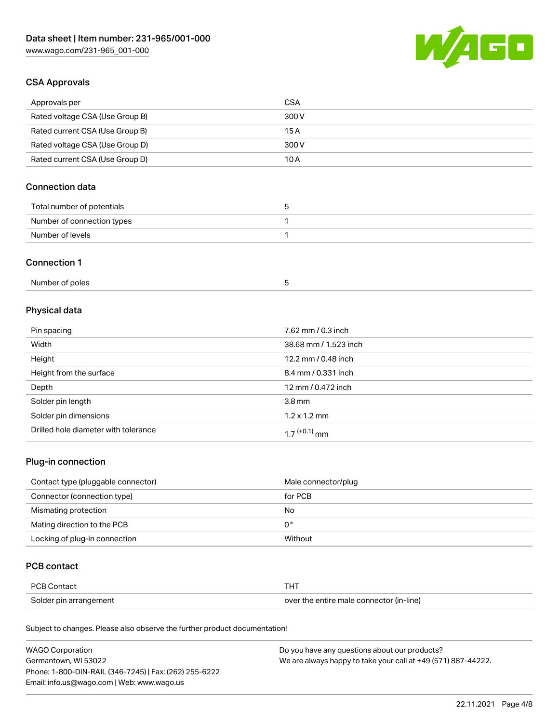

# CSA Approvals

| Approvals per                   | CSA   |
|---------------------------------|-------|
| Rated voltage CSA (Use Group B) | 300 V |
| Rated current CSA (Use Group B) | 15 A  |
| Rated voltage CSA (Use Group D) | 300 V |
| Rated current CSA (Use Group D) | 10 A  |

# Connection data

| Total number of potentials |  |
|----------------------------|--|
| Number of connection types |  |
| Number of levels           |  |

#### Connection 1

| Number of poles |  |
|-----------------|--|
|-----------------|--|

# Physical data

| Pin spacing                          | 7.62 mm / 0.3 inch    |
|--------------------------------------|-----------------------|
| Width                                | 38.68 mm / 1.523 inch |
| Height                               | 12.2 mm / 0.48 inch   |
| Height from the surface              | 8.4 mm / 0.331 inch   |
| Depth                                | 12 mm / 0.472 inch    |
| Solder pin length                    | 3.8 <sub>mm</sub>     |
| Solder pin dimensions                | $1.2 \times 1.2$ mm   |
| Drilled hole diameter with tolerance | $17^{(+0.1)}$ mm      |

# Plug-in connection

| Contact type (pluggable connector) | Male connector/plug |
|------------------------------------|---------------------|
| Connector (connection type)        | for PCB             |
| Mismating protection               | No                  |
| Mating direction to the PCB        | 0°                  |
| Locking of plug-in connection      | Without             |

## PCB contact

| <b>PCB Contact</b>     |                                          |
|------------------------|------------------------------------------|
| Solder pin arrangement | over the entire male connector (in-line) |

Subject to changes. Please also observe the further product documentation!

| <b>WAGO Corporation</b>                                | Do you have any questions about our products?                 |
|--------------------------------------------------------|---------------------------------------------------------------|
| Germantown, WI 53022                                   | We are always happy to take your call at +49 (571) 887-44222. |
| Phone: 1-800-DIN-RAIL (346-7245)   Fax: (262) 255-6222 |                                                               |
| Email: info.us@wago.com   Web: www.wago.us             |                                                               |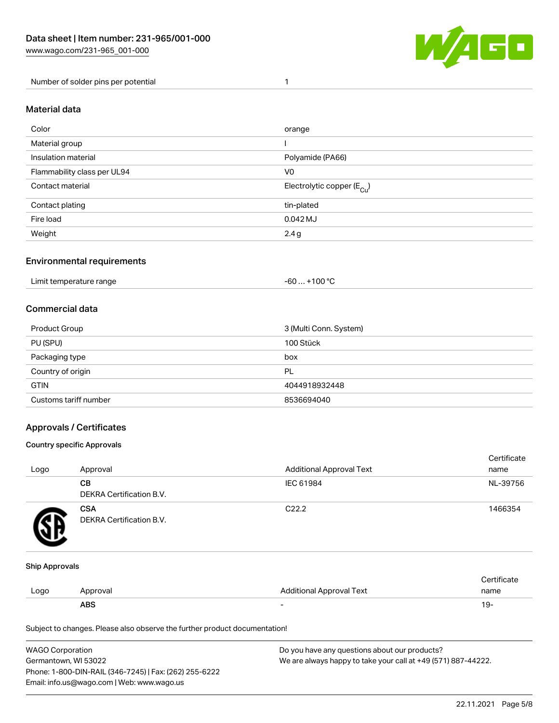

Number of solder pins per potential 1

#### Material data

| Color                       | orange                                 |
|-----------------------------|----------------------------------------|
| Material group              |                                        |
| Insulation material         | Polyamide (PA66)                       |
| Flammability class per UL94 | V <sub>0</sub>                         |
| Contact material            | Electrolytic copper (E <sub>Cu</sub> ) |
| Contact plating             | tin-plated                             |
| Fire load                   | 0.042 MJ                               |
| Weight                      | 2.4 g                                  |

### Environmental requirements

Limit temperature range  $-60... +100$  °C

### Commercial data

| Product Group         | 3 (Multi Conn. System) |
|-----------------------|------------------------|
| PU (SPU)              | 100 Stück              |
| Packaging type        | box                    |
| Country of origin     | PL                     |
| <b>GTIN</b>           | 4044918932448          |
| Customs tariff number | 8536694040             |

## Approvals / Certificates

#### Country specific Approvals

| Logo | Approval                               | <b>Additional Approval Text</b> | Certificate<br>name |
|------|----------------------------------------|---------------------------------|---------------------|
|      | CВ<br><b>DEKRA Certification B.V.</b>  | IEC 61984                       | NL-39756            |
|      | <b>CSA</b><br>DEKRA Certification B.V. | C <sub>22.2</sub>               | 1466354             |

#### Ship Approvals

|      | ABS      | -                        | ιУ۰         |
|------|----------|--------------------------|-------------|
| Logo | Approval | Additional Approval Text | name        |
|      |          |                          | ∵ertificate |

Subject to changes. Please also observe the further product documentation!

| <b>WAGO Corporation</b>                                | Do you have any questions about our products?                 |
|--------------------------------------------------------|---------------------------------------------------------------|
| Germantown, WI 53022                                   | We are always happy to take your call at +49 (571) 887-44222. |
| Phone: 1-800-DIN-RAIL (346-7245)   Fax: (262) 255-6222 |                                                               |
| Email: info.us@wago.com   Web: www.wago.us             |                                                               |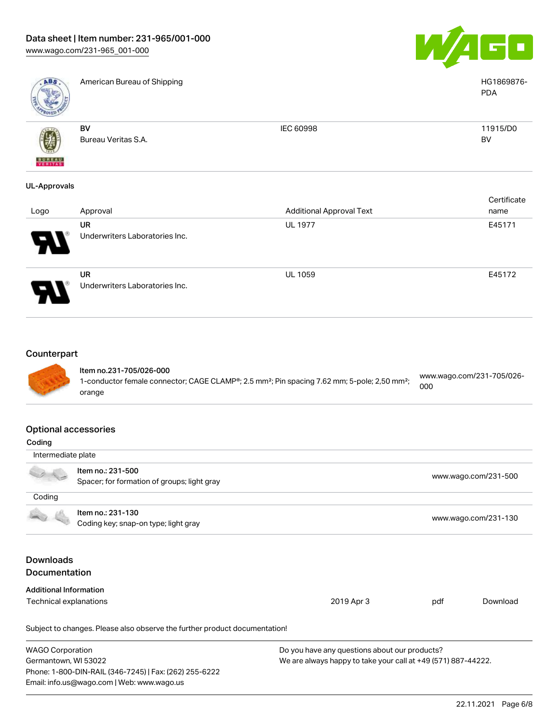



| ABS                                             | American Bureau of Shipping                                                                                                                               |                                                                                                                |     | HG1869876-<br><b>PDA</b>  |
|-------------------------------------------------|-----------------------------------------------------------------------------------------------------------------------------------------------------------|----------------------------------------------------------------------------------------------------------------|-----|---------------------------|
|                                                 | <b>BV</b><br>Bureau Veritas S.A.                                                                                                                          | IEC 60998                                                                                                      |     | 11915/D0<br><b>BV</b>     |
| <b>UL-Approvals</b>                             |                                                                                                                                                           |                                                                                                                |     |                           |
| Logo                                            | Approval                                                                                                                                                  | <b>Additional Approval Text</b>                                                                                |     | Certificate<br>name       |
|                                                 | UR<br>Underwriters Laboratories Inc.                                                                                                                      | <b>UL 1977</b>                                                                                                 |     | E45171                    |
|                                                 | <b>UR</b><br>Underwriters Laboratories Inc.                                                                                                               | UL 1059                                                                                                        |     | E45172                    |
| Counterpart                                     | Item no.231-705/026-000<br>1-conductor female connector; CAGE CLAMP®; 2.5 mm <sup>2</sup> ; Pin spacing 7.62 mm; 5-pole; 2,50 mm <sup>2</sup> ;<br>orange |                                                                                                                | 000 | www.wago.com/231-705/026- |
| <b>Optional accessories</b><br>Coding           |                                                                                                                                                           |                                                                                                                |     |                           |
| Intermediate plate                              |                                                                                                                                                           |                                                                                                                |     |                           |
|                                                 | Item no.: 231-500<br>Spacer; for formation of groups; light gray                                                                                          |                                                                                                                |     | www.wago.com/231-500      |
| Coding                                          |                                                                                                                                                           |                                                                                                                |     |                           |
|                                                 | Item no.: 231-130<br>Coding key; snap-on type; light gray                                                                                                 |                                                                                                                |     | www.wago.com/231-130      |
| <b>Downloads</b>                                |                                                                                                                                                           |                                                                                                                |     |                           |
| Documentation                                   |                                                                                                                                                           |                                                                                                                |     |                           |
| <b>Additional Information</b>                   |                                                                                                                                                           |                                                                                                                |     |                           |
| Technical explanations                          |                                                                                                                                                           | 2019 Apr 3                                                                                                     | pdf | Download                  |
|                                                 | Subject to changes. Please also observe the further product documentation!                                                                                |                                                                                                                |     |                           |
| <b>WAGO Corporation</b><br>Germantown, WI 53022 | Phone: 1-800-DIN-RAIL (346-7245)   Fax: (262) 255-6222<br>Email: info.us@wago.com   Web: www.wago.us                                                      | Do you have any questions about our products?<br>We are always happy to take your call at +49 (571) 887-44222. |     |                           |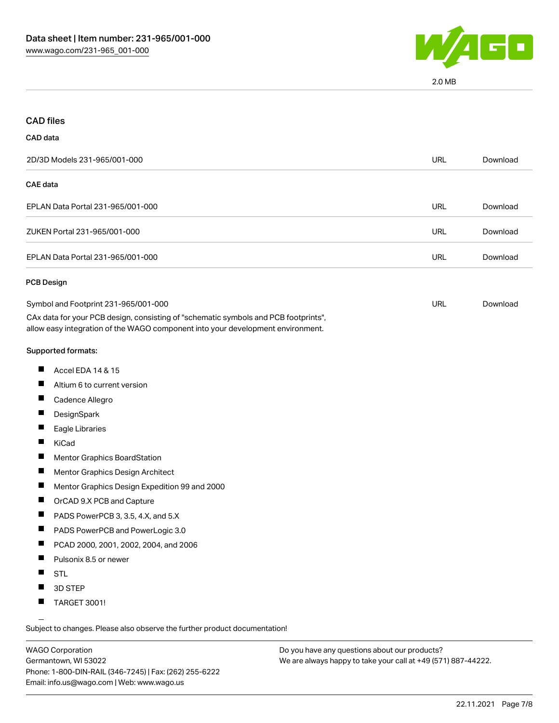

2.0 MB

| <b>CAD files</b>                                                                                                                                                                                               |            |          |
|----------------------------------------------------------------------------------------------------------------------------------------------------------------------------------------------------------------|------------|----------|
| CAD data                                                                                                                                                                                                       |            |          |
| 2D/3D Models 231-965/001-000                                                                                                                                                                                   | <b>URL</b> | Download |
| <b>CAE</b> data                                                                                                                                                                                                |            |          |
| EPLAN Data Portal 231-965/001-000                                                                                                                                                                              | <b>URL</b> | Download |
| ZUKEN Portal 231-965/001-000                                                                                                                                                                                   | URL        | Download |
| EPLAN Data Portal 231-965/001-000                                                                                                                                                                              | <b>URL</b> | Download |
| <b>PCB Design</b>                                                                                                                                                                                              |            |          |
| Symbol and Footprint 231-965/001-000<br>CAx data for your PCB design, consisting of "schematic symbols and PCB footprints",<br>allow easy integration of the WAGO component into your development environment. | URL        | Download |
| Supported formats:                                                                                                                                                                                             |            |          |
| ш<br>Accel EDA 14 & 15                                                                                                                                                                                         |            |          |
| ш<br>Altium 6 to current version                                                                                                                                                                               |            |          |
| ш<br>Cadence Allegro                                                                                                                                                                                           |            |          |
| ш<br>DesignSpark                                                                                                                                                                                               |            |          |
| H.<br>Eagle Libraries                                                                                                                                                                                          |            |          |
| Ш<br>KiCad                                                                                                                                                                                                     |            |          |
| ш<br><b>Mentor Graphics BoardStation</b>                                                                                                                                                                       |            |          |
| ш<br>Mentor Graphics Design Architect                                                                                                                                                                          |            |          |
| ш<br>Mentor Graphics Design Expedition 99 and 2000                                                                                                                                                             |            |          |
| ш<br>OrCAD 9.X PCB and Capture                                                                                                                                                                                 |            |          |
| ш<br>PADS PowerPCB 3, 3.5, 4.X, and 5.X                                                                                                                                                                        |            |          |
| PADS PowerPCB and PowerLogic 3.0<br>ш                                                                                                                                                                          |            |          |
| PCAD 2000, 2001, 2002, 2004, and 2006                                                                                                                                                                          |            |          |
| H.<br>Pulsonix 8.5 or newer                                                                                                                                                                                    |            |          |
| H.<br><b>STL</b>                                                                                                                                                                                               |            |          |
| 3D STEP                                                                                                                                                                                                        |            |          |
| ш<br>TARGET 3001!                                                                                                                                                                                              |            |          |

Subject to changes. Please also observe the further product documentation!

WAGO Corporation Germantown, WI 53022 Phone: 1-800-DIN-RAIL (346-7245) | Fax: (262) 255-6222 Email: info.us@wago.com | Web: www.wago.us